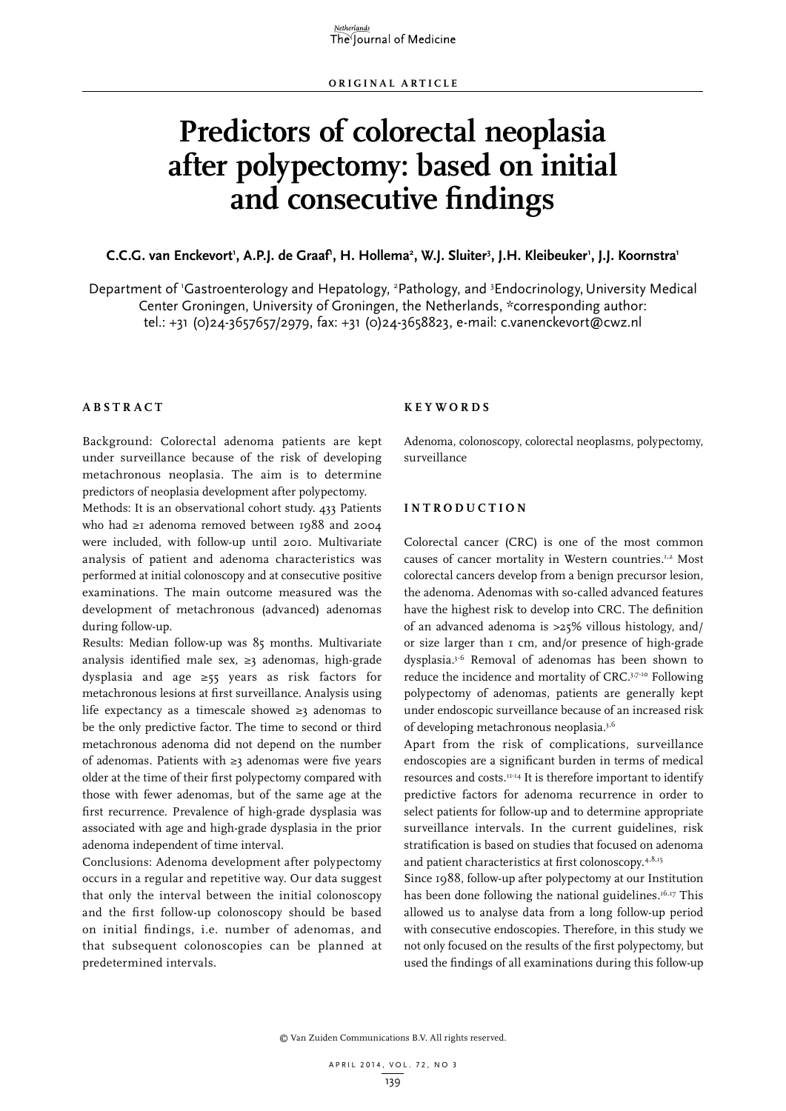# **Predictors of colorectal neoplasia after polypectomy: based on initial and consecutive findings**

## **C.C.G.** van Enckevort', A.P.J. de Graaf', H. Hollema<sup>2</sup>, W.J. Sluiter<sup>3</sup>, J.H. Kleibeuker', J.J. Koornstra'

Department of 'Gastroenterology and Hepatology, <sup>2</sup>Pathology, and <sup>3</sup>Endocrinology, University Medical Center Groningen, University of Groningen, the Netherlands, \*corresponding author: tel.: +31 (0)24-3657657/2979, fax: +31 (0)24-3658823, e-mail: c.vanenckevort@cwz.nl

## **A B STRA C T**

Background: Colorectal adenoma patients are kept under surveillance because of the risk of developing metachronous neoplasia. The aim is to determine predictors of neoplasia development after polypectomy.

Methods: It is an observational cohort study. 433 Patients who had ≥1 adenoma removed between 1988 and 2004 were included, with follow-up until 2010. Multivariate analysis of patient and adenoma characteristics was performed at initial colonoscopy and at consecutive positive examinations. The main outcome measured was the development of metachronous (advanced) adenomas during follow-up.

Results: Median follow-up was 85 months. Multivariate analysis identified male sex, ≥3 adenomas, high-grade dysplasia and age ≥55 years as risk factors for metachronous lesions at first surveillance. Analysis using life expectancy as a timescale showed ≥3 adenomas to be the only predictive factor. The time to second or third metachronous adenoma did not depend on the number of adenomas. Patients with ≥3 adenomas were five years older at the time of their first polypectomy compared with those with fewer adenomas, but of the same age at the first recurrence. Prevalence of high-grade dysplasia was associated with age and high-grade dysplasia in the prior adenoma independent of time interval.

Conclusions: Adenoma development after polypectomy occurs in a regular and repetitive way. Our data suggest that only the interval between the initial colonoscopy and the first follow-up colonoscopy should be based on initial findings, i.e. number of adenomas, and that subsequent colonoscopies can be planned at predetermined intervals.

#### **K E Y W ORDS**

Adenoma, colonoscopy, colorectal neoplasms, polypectomy, surveillance

## **INTROD U C TION**

Colorectal cancer (CRC) is one of the most common causes of cancer mortality in Western countries.1,2 Most colorectal cancers develop from a benign precursor lesion, the adenoma. Adenomas with so-called advanced features have the highest risk to develop into CRC. The definition of an advanced adenoma is >25% villous histology, and/ or size larger than 1 cm, and/or presence of high-grade dysplasia.3-6 Removal of adenomas has been shown to reduce the incidence and mortality of CRC.3,7-10 Following polypectomy of adenomas, patients are generally kept under endoscopic surveillance because of an increased risk of developing metachronous neoplasia.3,6

Apart from the risk of complications, surveillance endoscopies are a significant burden in terms of medical resources and costs.11-14 It is therefore important to identify predictive factors for adenoma recurrence in order to select patients for follow-up and to determine appropriate surveillance intervals. In the current guidelines, risk stratification is based on studies that focused on adenoma and patient characteristics at first colonoscopy.4,8,15

Since 1988, follow-up after polypectomy at our Institution has been done following the national guidelines.<sup>16,17</sup> This allowed us to analyse data from a long follow-up period with consecutive endoscopies. Therefore, in this study we not only focused on the results of the first polypectomy, but used the findings of all examinations during this follow-up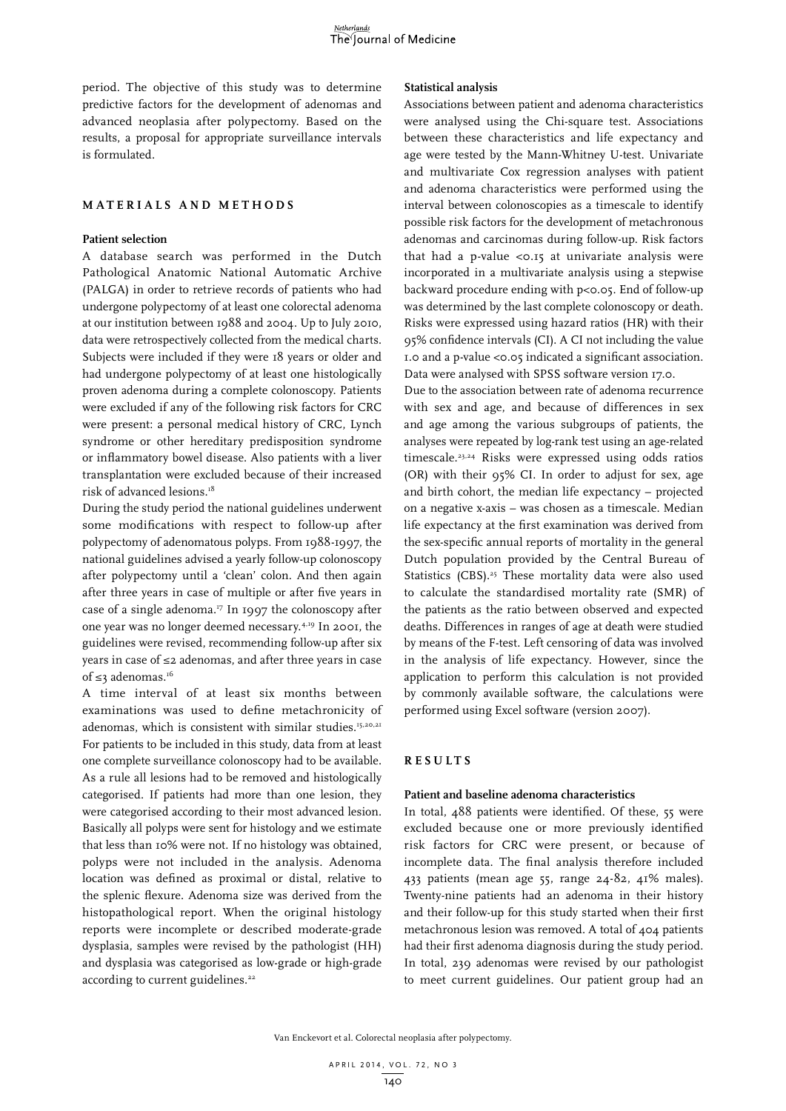period. The objective of this study was to determine predictive factors for the development of adenomas and advanced neoplasia after polypectomy. Based on the results, a proposal for appropriate surveillance intervals is formulated.

#### **M ATERIALS AND M ET H ODS**

#### **Patient selection**

A database search was performed in the Dutch Pathological Anatomic National Automatic Archive (PALGA) in order to retrieve records of patients who had undergone polypectomy of at least one colorectal adenoma at our institution between 1988 and 2004. Up to July 2010, data were retrospectively collected from the medical charts. Subjects were included if they were 18 years or older and had undergone polypectomy of at least one histologically proven adenoma during a complete colonoscopy. Patients were excluded if any of the following risk factors for CRC were present: a personal medical history of CRC, Lynch syndrome or other hereditary predisposition syndrome or inflammatory bowel disease. Also patients with a liver transplantation were excluded because of their increased risk of advanced lesions.18

During the study period the national guidelines underwent some modifications with respect to follow-up after polypectomy of adenomatous polyps. From 1988-1997, the national guidelines advised a yearly follow-up colonoscopy after polypectomy until a 'clean' colon. And then again after three years in case of multiple or after five years in case of a single adenoma.<sup>17</sup> In 1997 the colonoscopy after one year was no longer deemed necessary.4,19 In 2001, the guidelines were revised, recommending follow-up after six years in case of ≤2 adenomas, and after three years in case of ≤3 adenomas.<sup>16</sup>

A time interval of at least six months between examinations was used to define metachronicity of adenomas, which is consistent with similar studies.<sup>15,20,21</sup> For patients to be included in this study, data from at least one complete surveillance colonoscopy had to be available. As a rule all lesions had to be removed and histologically categorised. If patients had more than one lesion, they were categorised according to their most advanced lesion. Basically all polyps were sent for histology and we estimate that less than 10% were not. If no histology was obtained, polyps were not included in the analysis. Adenoma location was defined as proximal or distal, relative to the splenic flexure. Adenoma size was derived from the histopathological report. When the original histology reports were incomplete or described moderate-grade dysplasia, samples were revised by the pathologist (HH) and dysplasia was categorised as low-grade or high-grade according to current guidelines.<sup>22</sup>

#### **Statistical analysis**

Associations between patient and adenoma characteristics were analysed using the Chi-square test. Associations between these characteristics and life expectancy and age were tested by the Mann-Whitney U-test. Univariate and multivariate Cox regression analyses with patient and adenoma characteristics were performed using the interval between colonoscopies as a timescale to identify possible risk factors for the development of metachronous adenomas and carcinomas during follow-up. Risk factors that had a p-value <0.15 at univariate analysis were incorporated in a multivariate analysis using a stepwise backward procedure ending with p<0.05. End of follow-up was determined by the last complete colonoscopy or death. Risks were expressed using hazard ratios (HR) with their 95% confidence intervals (CI). A CI not including the value 1.0 and a p-value <0.05 indicated a significant association. Data were analysed with SPSS software version 17.0.

Due to the association between rate of adenoma recurrence with sex and age, and because of differences in sex and age among the various subgroups of patients, the analyses were repeated by log-rank test using an age-related timescale.23,24 Risks were expressed using odds ratios (OR) with their 95% CI. In order to adjust for sex, age and birth cohort, the median life expectancy – projected on a negative x-axis – was chosen as a timescale. Median life expectancy at the first examination was derived from the sex-specific annual reports of mortality in the general Dutch population provided by the Central Bureau of Statistics (CBS).<sup>25</sup> These mortality data were also used to calculate the standardised mortality rate (SMR) of the patients as the ratio between observed and expected deaths. Differences in ranges of age at death were studied by means of the F-test. Left censoring of data was involved in the analysis of life expectancy. However, since the application to perform this calculation is not provided by commonly available software, the calculations were performed using Excel software (version 2007).

# **RES U LTS**

#### **Patient and baseline adenoma characteristics**

In total, 488 patients were identified. Of these, 55 were excluded because one or more previously identified risk factors for CRC were present, or because of incomplete data. The final analysis therefore included 433 patients (mean age 55, range 24-82, 41% males). Twenty-nine patients had an adenoma in their history and their follow-up for this study started when their first metachronous lesion was removed. A total of 404 patients had their first adenoma diagnosis during the study period. In total, 239 adenomas were revised by our pathologist to meet current guidelines. Our patient group had an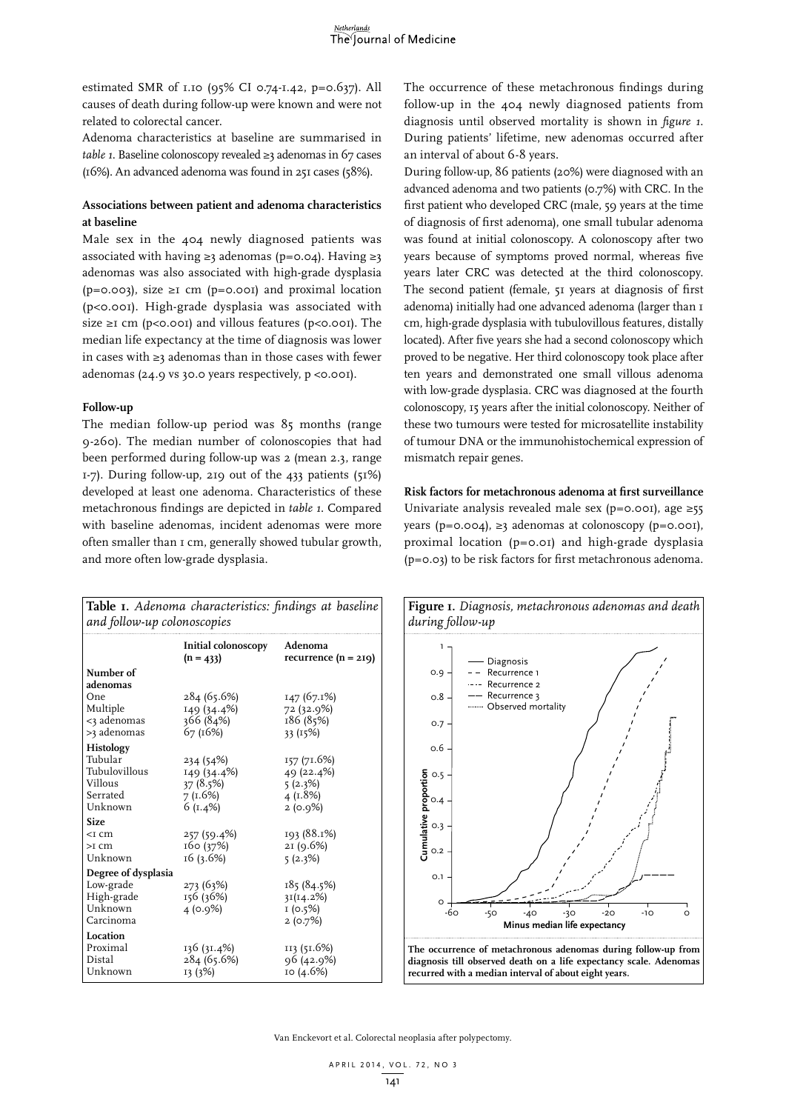estimated SMR of 1.10 (95% CI 0.74-1.42, p=0.637). All causes of death during follow-up were known and were not related to colorectal cancer.

Adenoma characteristics at baseline are summarised in *table 1*. Baseline colonoscopy revealed ≥3 adenomas in 67 cases (16%). An advanced adenoma was found in 251 cases (58%).

## **Associations between patient and adenoma characteristics at baseline**

Male sex in the 404 newly diagnosed patients was associated with having ≥3 adenomas (p=0.04). Having ≥3 adenomas was also associated with high-grade dysplasia ( $p=0.003$ ), size ≥1 cm ( $p=0.001$ ) and proximal location (p<0.001). High-grade dysplasia was associated with size ≥1 cm (p<0.001) and villous features (p<0.001). The median life expectancy at the time of diagnosis was lower in cases with ≥3 adenomas than in those cases with fewer adenomas (24.9 vs 30.0 years respectively, p <0.001).

#### **Follow-up**

The median follow-up period was 85 months (range 9-260). The median number of colonoscopies that had been performed during follow-up was 2 (mean 2.3, range 1-7). During follow-up, 219 out of the 433 patients (51%) developed at least one adenoma. Characteristics of these metachronous findings are depicted in *table 1*. Compared with baseline adenomas, incident adenomas were more often smaller than 1 cm, generally showed tubular growth, and more often low-grade dysplasia.

The occurrence of these metachronous findings during follow-up in the 404 newly diagnosed patients from diagnosis until observed mortality is shown in *figure 1*. During patients' lifetime, new adenomas occurred after an interval of about 6-8 years.

During follow-up, 86 patients (20%) were diagnosed with an advanced adenoma and two patients (0.7%) with CRC. In the first patient who developed CRC (male, 59 years at the time of diagnosis of first adenoma), one small tubular adenoma was found at initial colonoscopy. A colonoscopy after two years because of symptoms proved normal, whereas five years later CRC was detected at the third colonoscopy. The second patient (female, 51 years at diagnosis of first adenoma) initially had one advanced adenoma (larger than 1 cm, high-grade dysplasia with tubulovillous features, distally located). After five years she had a second colonoscopy which proved to be negative. Her third colonoscopy took place after ten years and demonstrated one small villous adenoma with low-grade dysplasia. CRC was diagnosed at the fourth colonoscopy, 15 years after the initial colonoscopy. Neither of these two tumours were tested for microsatellite instability of tumour DNA or the immunohistochemical expression of mismatch repair genes.

**Risk factors for metachronous adenoma at first surveillance** Univariate analysis revealed male sex (p=0.001), age  $\geq 55$ years ( $p=0.004$ ), ≥3 adenomas at colonoscopy ( $p=0.001$ ), proximal location (p=0.01) and high-grade dysplasia (p=0.03) to be risk factors for first metachronous adenoma.

| Table I. Adenoma characteristics: findings at baseline<br>and follow-up colonoscopies |                                                                |                                                            |  |  |
|---------------------------------------------------------------------------------------|----------------------------------------------------------------|------------------------------------------------------------|--|--|
|                                                                                       | Initial colonoscopy<br>$(n = 433)$                             | Adenoma<br>recurrence $(n = 219)$                          |  |  |
| Number of<br>adenomas                                                                 |                                                                |                                                            |  |  |
| One<br>Multiple<br><3 adenomas<br>>3 adenomas                                         | 284 (65.6%)<br>149 (34.4%)<br>366 (84%)<br>67 (16%)            | 147 (67.1%)<br>72 (32.9%)<br>186 (85%)<br>33 (15%)         |  |  |
| Histology<br>Tubular<br>Tubulovillous<br>Villous<br>Serrated<br>Unknown               | 234 (54%)<br>149 (34.4%)<br>37(8.5%)<br>7(1.6%)<br>6 $(I.4\%)$ | 157 (71.6%)<br>49 (22.4%)<br>5(2.3%)<br>4(1.8%)<br>2(0.9%) |  |  |
| <b>Size</b><br>$<$ I C $m$<br>$>$ T C m<br>Unknown                                    | 257 (59.4%)<br>160 (37%)<br>16(3.6%)                           | 193 (88.1%)<br>21 (9.6%)<br>5(2.3%)                        |  |  |
| Degree of dysplasia<br>Low-grade<br>High-grade<br>Unknown<br>Carcinoma                | 273 (63%)<br>156 (36%)<br>4(0.9%)                              | 185 (84.5%)<br>3I(14.2%)<br>1(0.5%)<br>2(0.7%)             |  |  |
| Location<br>Proximal<br>Distal<br>Unknown                                             | 136 (31.4%)<br>284 (65.6%)<br>13 (3%)                          | 113 (51.6%)<br>96 (42.9%)<br>10 (4.6%)                     |  |  |

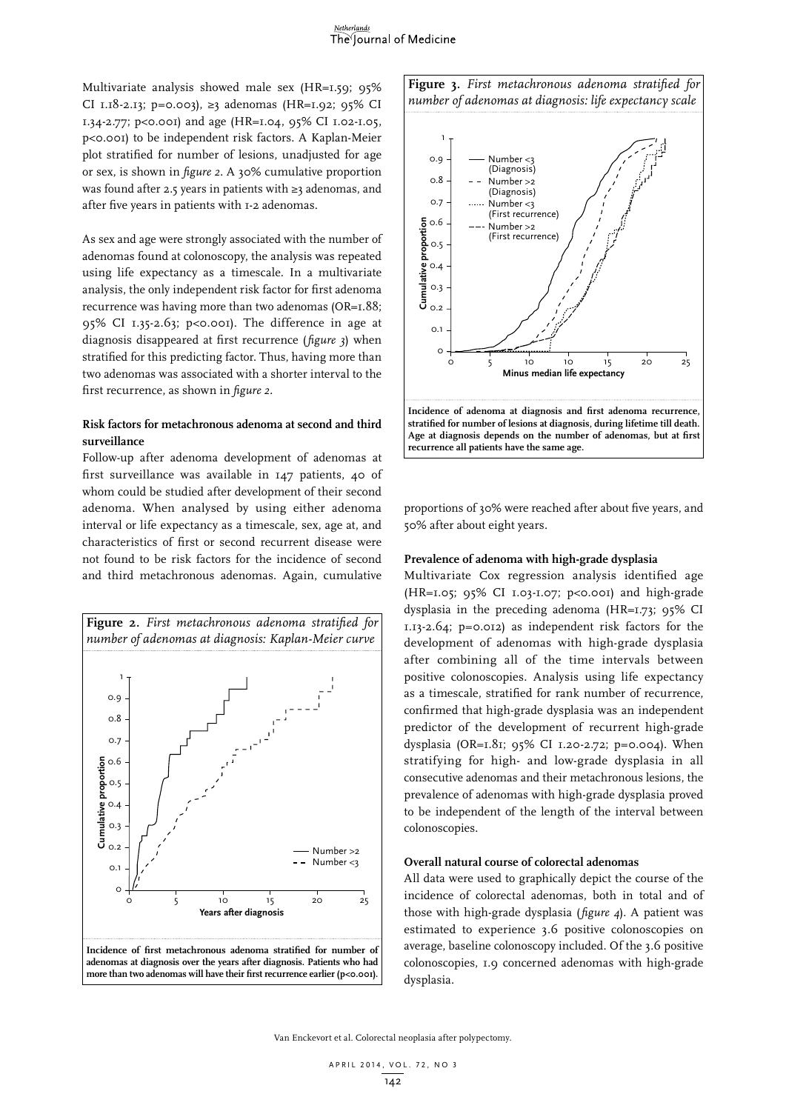Multivariate analysis showed male sex (HR=1.59; 95% CI 1.18-2.13; p=0.003), ≥3 adenomas (HR=1.92; 95% CI 1.34-2.77; p<0.001) and age (HR=1.04, 95% CI 1.02-1.05, p<0.001) to be independent risk factors. A Kaplan-Meier plot stratified for number of lesions, unadjusted for age or sex, is shown in *figure 2.* A 30% cumulative proportion was found after 2.5 years in patients with ≥3 adenomas, and after five years in patients with 1-2 adenomas.

As sex and age were strongly associated with the number of adenomas found at colonoscopy, the analysis was repeated using life expectancy as a timescale. In a multivariate analysis, the only independent risk factor for first adenoma recurrence was having more than two adenomas (OR=1.88; 95% CI 1.35-2.63; p<0.001). The difference in age at diagnosis disappeared at first recurrence (*figure 3*) when stratified for this predicting factor. Thus, having more than two adenomas was associated with a shorter interval to the first recurrence, as shown in *figure 2.*

# **Risk factors for metachronous adenoma at second and third surveillance**

Follow-up after adenoma development of adenomas at first surveillance was available in 147 patients, 40 of whom could be studied after development of their second adenoma. When analysed by using either adenoma interval or life expectancy as a timescale, sex, age at, and characteristics of first or second recurrent disease were not found to be risk factors for the incidence of second and third metachronous adenomas. Again, cumulative







proportions of 30% were reached after about five years, and 50% after about eight years.

## **Prevalence of adenoma with high-grade dysplasia**

Multivariate Cox regression analysis identified age (HR=1.05; 95% CI 1.03-1.07; p<0.001) and high-grade dysplasia in the preceding adenoma (HR=1.73; 95% CI 1.13-2.64; p=0.012) as independent risk factors for the development of adenomas with high-grade dysplasia after combining all of the time intervals between positive colonoscopies. Analysis using life expectancy as a timescale, stratified for rank number of recurrence, confirmed that high-grade dysplasia was an independent predictor of the development of recurrent high-grade dysplasia (OR=1.81; 95% CI 1.20-2.72; p=0.004). When stratifying for high- and low-grade dysplasia in all consecutive adenomas and their metachronous lesions, the prevalence of adenomas with high-grade dysplasia proved to be independent of the length of the interval between colonoscopies.

#### **Overall natural course of colorectal adenomas**

All data were used to graphically depict the course of the incidence of colorectal adenomas, both in total and of those with high-grade dysplasia (*figure 4*). A patient was estimated to experience 3.6 positive colonoscopies on average, baseline colonoscopy included. Of the 3.6 positive colonoscopies, 1.9 concerned adenomas with high-grade dysplasia.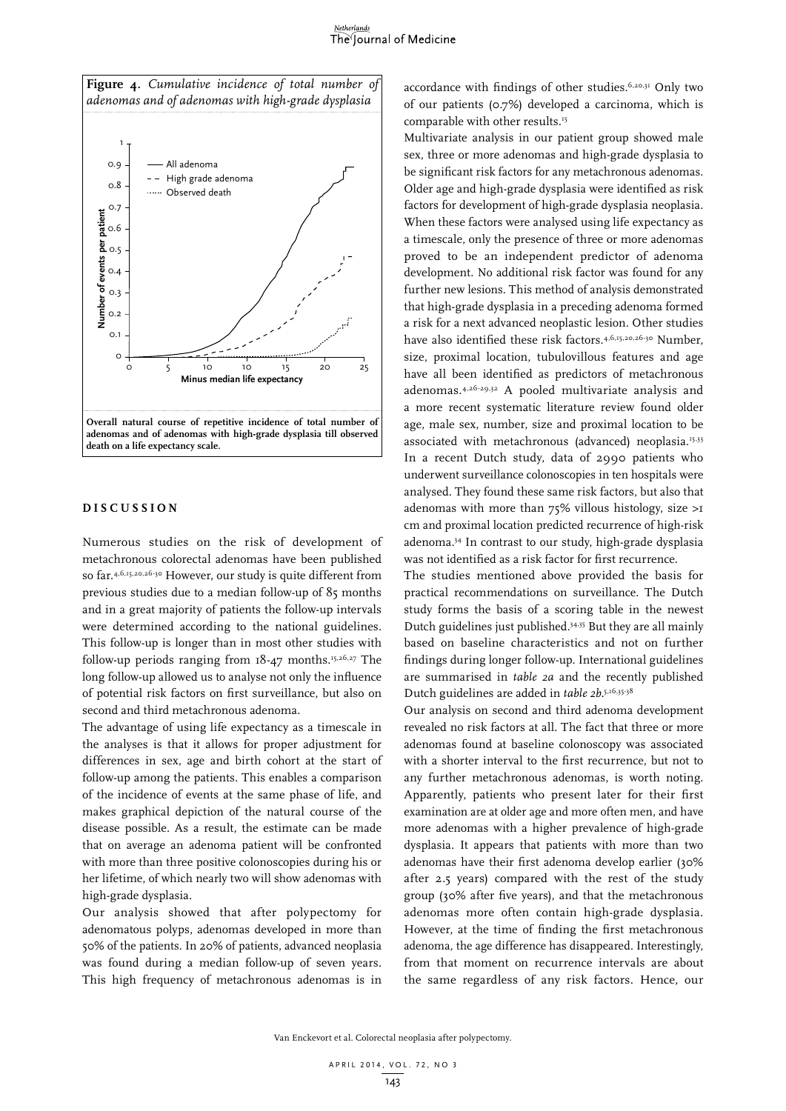#### Netherlands The Journal of Medicine





## **DIS C U SSION**

Numerous studies on the risk of development of metachronous colorectal adenomas have been published so far.4,6,15,20,26-30 However, our study is quite different from previous studies due to a median follow-up of 85 months and in a great majority of patients the follow-up intervals were determined according to the national guidelines. This follow-up is longer than in most other studies with follow-up periods ranging from  $18-47$  months.<sup>15,26,27</sup> The long follow-up allowed us to analyse not only the influence of potential risk factors on first surveillance, but also on second and third metachronous adenoma.

The advantage of using life expectancy as a timescale in the analyses is that it allows for proper adjustment for differences in sex, age and birth cohort at the start of follow-up among the patients. This enables a comparison of the incidence of events at the same phase of life, and makes graphical depiction of the natural course of the disease possible. As a result, the estimate can be made that on average an adenoma patient will be confronted with more than three positive colonoscopies during his or her lifetime, of which nearly two will show adenomas with high-grade dysplasia.

Our analysis showed that after polypectomy for adenomatous polyps, adenomas developed in more than 50% of the patients. In 20% of patients, advanced neoplasia was found during a median follow-up of seven years. This high frequency of metachronous adenomas is in

accordance with findings of other studies.<sup>6,20,31</sup> Only two of our patients (0.7%) developed a carcinoma, which is comparable with other results.15

Multivariate analysis in our patient group showed male sex, three or more adenomas and high-grade dysplasia to be significant risk factors for any metachronous adenomas. Older age and high-grade dysplasia were identified as risk factors for development of high-grade dysplasia neoplasia. When these factors were analysed using life expectancy as a timescale, only the presence of three or more adenomas proved to be an independent predictor of adenoma development. No additional risk factor was found for any further new lesions. This method of analysis demonstrated that high-grade dysplasia in a preceding adenoma formed a risk for a next advanced neoplastic lesion. Other studies have also identified these risk factors.<sup>4,6,15,20,26-30</sup> Number, size, proximal location, tubulovillous features and age have all been identified as predictors of metachronous adenomas.4,26-29,32 A pooled multivariate analysis and a more recent systematic literature review found older age, male sex, number, size and proximal location to be associated with metachronous (advanced) neoplasia.<sup>15,33</sup> In a recent Dutch study, data of 2990 patients who underwent surveillance colonoscopies in ten hospitals were analysed. They found these same risk factors, but also that adenomas with more than 75% villous histology, size >1 cm and proximal location predicted recurrence of high-risk adenoma.34 In contrast to our study, high-grade dysplasia was not identified as a risk factor for first recurrence.

The studies mentioned above provided the basis for practical recommendations on surveillance. The Dutch study forms the basis of a scoring table in the newest Dutch guidelines just published.34,35 But they are all mainly based on baseline characteristics and not on further findings during longer follow-up. International guidelines are summarised in *table 2a* and the recently published Dutch guidelines are added in *table 2b*. 5,16,35-38

Our analysis on second and third adenoma development revealed no risk factors at all. The fact that three or more adenomas found at baseline colonoscopy was associated with a shorter interval to the first recurrence, but not to any further metachronous adenomas, is worth noting. Apparently, patients who present later for their first examination are at older age and more often men, and have more adenomas with a higher prevalence of high-grade dysplasia. It appears that patients with more than two adenomas have their first adenoma develop earlier (30% after 2.5 years) compared with the rest of the study group (30% after five years), and that the metachronous adenomas more often contain high-grade dysplasia. However, at the time of finding the first metachronous adenoma, the age difference has disappeared. Interestingly, from that moment on recurrence intervals are about the same regardless of any risk factors. Hence, our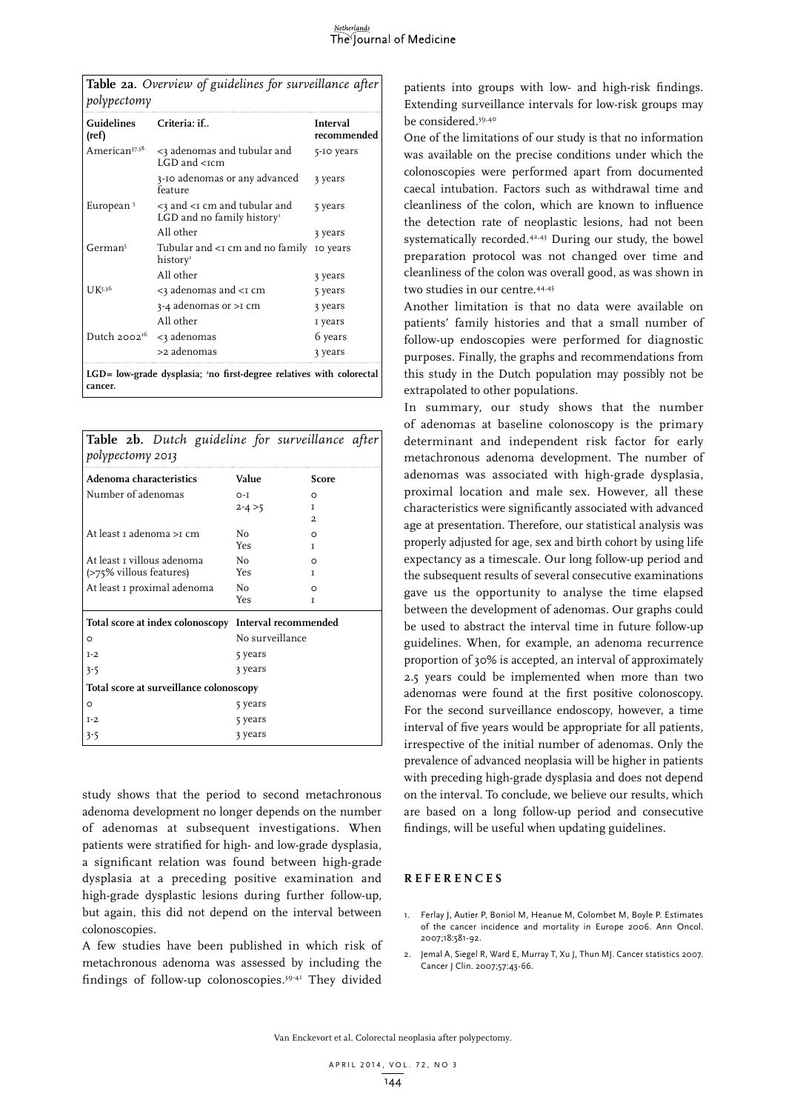**Table 2a.** *Overview of guidelines for surveillance after polypectomy*

| Guidelines<br>(ref)       | Criteria: if                                                                  | Interval<br>recommended |
|---------------------------|-------------------------------------------------------------------------------|-------------------------|
| American <sup>37,38</sup> | <3 adenomas and tubular and<br>LGD and <tcm< td=""><td>5-IO years</td></tcm<> | 5-IO years              |
|                           | 3-10 adenomas or any advanced<br>feature                                      | 3 years                 |
| European <sup>5</sup>     | <3 and <1 cm and tubular and<br>LGD and no family history <sup>1</sup>        | 5 years                 |
|                           | All other                                                                     | 3 years                 |
| German <sup>5</sup>       | Tubular and <i and="" cm="" family<br="" no="">history</i>                    | IO years                |
|                           | All other                                                                     | 3 years                 |
| U <sup>K5,36</sup>        | <3 adenomas and <1 cm                                                         | 5 years                 |
|                           | $3-4$ adenomas or $>1$ cm                                                     | 3 years                 |
|                           | All other                                                                     | I years                 |
| Dutch 2002 <sup>16</sup>  | <3 adenomas                                                                   | 6 years                 |
|                           | >2 adenomas                                                                   | 3 years                 |
| cancer.                   | LGD= low-grade dysplasia; 'no first-degree relatives with colorectal          |                         |

| Table 2b. Dutch guideline for surveillance after<br>polypectomy 2013 |                 |                      |  |  |  |  |  |
|----------------------------------------------------------------------|-----------------|----------------------|--|--|--|--|--|
| Adenoma characteristics                                              | Value           | <b>Score</b>         |  |  |  |  |  |
| Number of adenomas                                                   | $O-I$           | O                    |  |  |  |  |  |
|                                                                      | $2 - 4 > 5$     | T                    |  |  |  |  |  |
|                                                                      |                 | 2                    |  |  |  |  |  |
| At least 1 adenoma >1 cm                                             | N <sub>0</sub>  | ∩                    |  |  |  |  |  |
|                                                                      | Yes             | T                    |  |  |  |  |  |
| At least 1 villous adenoma                                           | Nο              | ∩                    |  |  |  |  |  |
| (>75% villous features)                                              | Yes             | T                    |  |  |  |  |  |
| At least I proximal adenoma                                          | No              | O                    |  |  |  |  |  |
|                                                                      | Yes             | T                    |  |  |  |  |  |
| Total score at index colonoscopy                                     |                 | Interval recommended |  |  |  |  |  |
| $\circ$                                                              | No surveillance |                      |  |  |  |  |  |
| $T-2$                                                                | 5 years         |                      |  |  |  |  |  |
| $3 - 5$                                                              | 3 years         |                      |  |  |  |  |  |
| Total score at surveillance colonoscopy                              |                 |                      |  |  |  |  |  |
| $\circ$                                                              | 5 years         |                      |  |  |  |  |  |
| $I-2$                                                                | 5 years         |                      |  |  |  |  |  |
| $3 - 5$                                                              | 3 years         |                      |  |  |  |  |  |

study shows that the period to second metachronous adenoma development no longer depends on the number of adenomas at subsequent investigations. When patients were stratified for high- and low-grade dysplasia, a significant relation was found between high-grade dysplasia at a preceding positive examination and high-grade dysplastic lesions during further follow-up, but again, this did not depend on the interval between colonoscopies.

A few studies have been published in which risk of metachronous adenoma was assessed by including the findings of follow-up colonoscopies.39-41 They divided

patients into groups with low- and high-risk findings. Extending surveillance intervals for low-risk groups may be considered.39,40

One of the limitations of our study is that no information was available on the precise conditions under which the colonoscopies were performed apart from documented caecal intubation. Factors such as withdrawal time and cleanliness of the colon**,** which are known to influence the detection rate of neoplastic lesions, had not been systematically recorded.42,43 During our study, the bowel preparation protocol was not changed over time and cleanliness of the colon was overall good, as was shown in two studies in our centre.44,45

Another limitation is that no data were available on patients' family histories and that a small number of follow-up endoscopies were performed for diagnostic purposes. Finally, the graphs and recommendations from this study in the Dutch population may possibly not be extrapolated to other populations.

In summary, our study shows that the number of adenomas at baseline colonoscopy is the primary determinant and independent risk factor for early metachronous adenoma development. The number of adenomas was associated with high-grade dysplasia, proximal location and male sex. However, all these characteristics were significantly associated with advanced age at presentation. Therefore, our statistical analysis was properly adjusted for age, sex and birth cohort by using life expectancy as a timescale. Our long follow-up period and the subsequent results of several consecutive examinations gave us the opportunity to analyse the time elapsed between the development of adenomas. Our graphs could be used to abstract the interval time in future follow-up guidelines. When, for example, an adenoma recurrence proportion of 30% is accepted, an interval of approximately 2.5 years could be implemented when more than two adenomas were found at the first positive colonoscopy. For the second surveillance endoscopy, however, a time interval of five years would be appropriate for all patients, irrespective of the initial number of adenomas. Only the prevalence of advanced neoplasia will be higher in patients with preceding high-grade dysplasia and does not depend on the interval. To conclude, we believe our results, which are based on a long follow-up period and consecutive findings, will be useful when updating guidelines.

#### **REFEREN C ES**

- 1. Ferlay J, Autier P, Boniol M, Heanue M, Colombet M, Boyle P. Estimates of the cancer incidence and mortality in Europe 2006. Ann Oncol. 2007;18:581-92.
- 2. Jemal A, Siegel R, Ward E, Murray T, Xu J, Thun MJ. Cancer statistics 2007. Cancer J Clin. 2007;57:43-66.